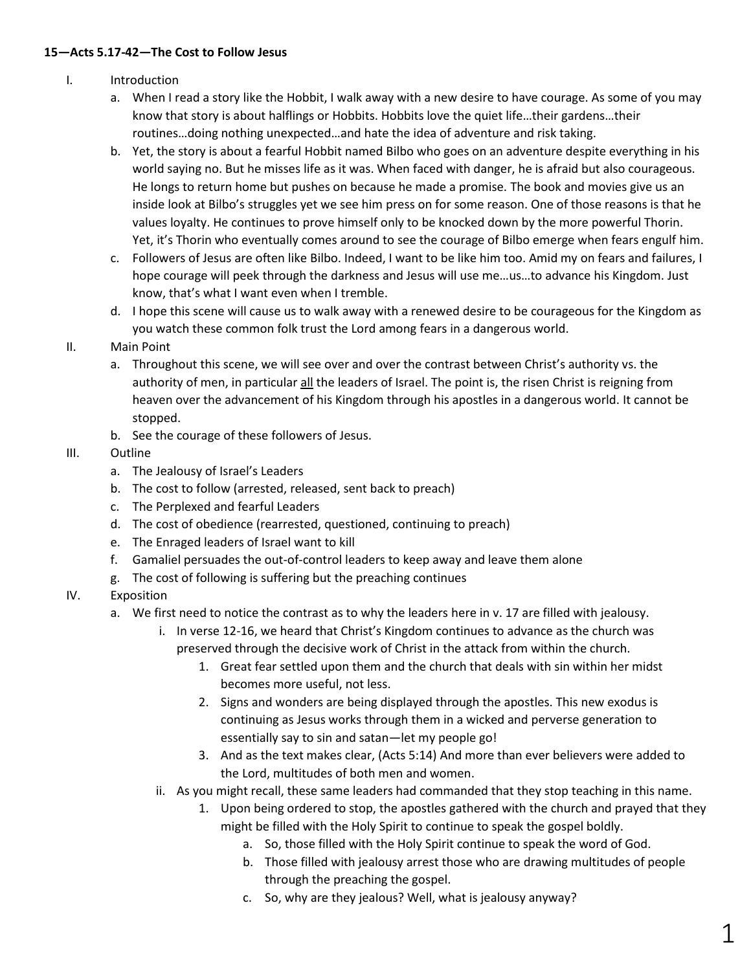### **15—Acts 5.17-42—The Cost to Follow Jesus**

### I. Introduction

- a. When I read a story like the Hobbit, I walk away with a new desire to have courage. As some of you may know that story is about halflings or Hobbits. Hobbits love the quiet life…their gardens…their routines…doing nothing unexpected…and hate the idea of adventure and risk taking.
- b. Yet, the story is about a fearful Hobbit named Bilbo who goes on an adventure despite everything in his world saying no. But he misses life as it was. When faced with danger, he is afraid but also courageous. He longs to return home but pushes on because he made a promise. The book and movies give us an inside look at Bilbo's struggles yet we see him press on for some reason. One of those reasons is that he values loyalty. He continues to prove himself only to be knocked down by the more powerful Thorin. Yet, it's Thorin who eventually comes around to see the courage of Bilbo emerge when fears engulf him.
- c. Followers of Jesus are often like Bilbo. Indeed, I want to be like him too. Amid my on fears and failures, I hope courage will peek through the darkness and Jesus will use me…us…to advance his Kingdom. Just know, that's what I want even when I tremble.
- d. I hope this scene will cause us to walk away with a renewed desire to be courageous for the Kingdom as you watch these common folk trust the Lord among fears in a dangerous world.

# II. Main Point

- a. Throughout this scene, we will see over and over the contrast between Christ's authority vs. the authority of men, in particular all the leaders of Israel. The point is, the risen Christ is reigning from heaven over the advancement of his Kingdom through his apostles in a dangerous world. It cannot be stopped.
- b. See the courage of these followers of Jesus.

#### III. Outline

- a. The Jealousy of Israel's Leaders
- b. The cost to follow (arrested, released, sent back to preach)
- c. The Perplexed and fearful Leaders
- d. The cost of obedience (rearrested, questioned, continuing to preach)
- e. The Enraged leaders of Israel want to kill
- f. Gamaliel persuades the out-of-control leaders to keep away and leave them alone
- g. The cost of following is suffering but the preaching continues

# IV. Exposition

- a. We first need to notice the contrast as to why the leaders here in v. 17 are filled with jealousy.
	- i. In verse 12-16, we heard that Christ's Kingdom continues to advance as the church was preserved through the decisive work of Christ in the attack from within the church.
		- 1. Great fear settled upon them and the church that deals with sin within her midst becomes more useful, not less.
		- 2. Signs and wonders are being displayed through the apostles. This new exodus is continuing as Jesus works through them in a wicked and perverse generation to essentially say to sin and satan—let my people go!
		- 3. And as the text makes clear, (Acts 5:14) And more than ever believers were added to the Lord, multitudes of both men and women.
	- ii. As you might recall, these same leaders had commanded that they stop teaching in this name.
		- 1. Upon being ordered to stop, the apostles gathered with the church and prayed that they might be filled with the Holy Spirit to continue to speak the gospel boldly.
			- a. So, those filled with the Holy Spirit continue to speak the word of God.
			- b. Those filled with jealousy arrest those who are drawing multitudes of people through the preaching the gospel.
			- c. So, why are they jealous? Well, what is jealousy anyway?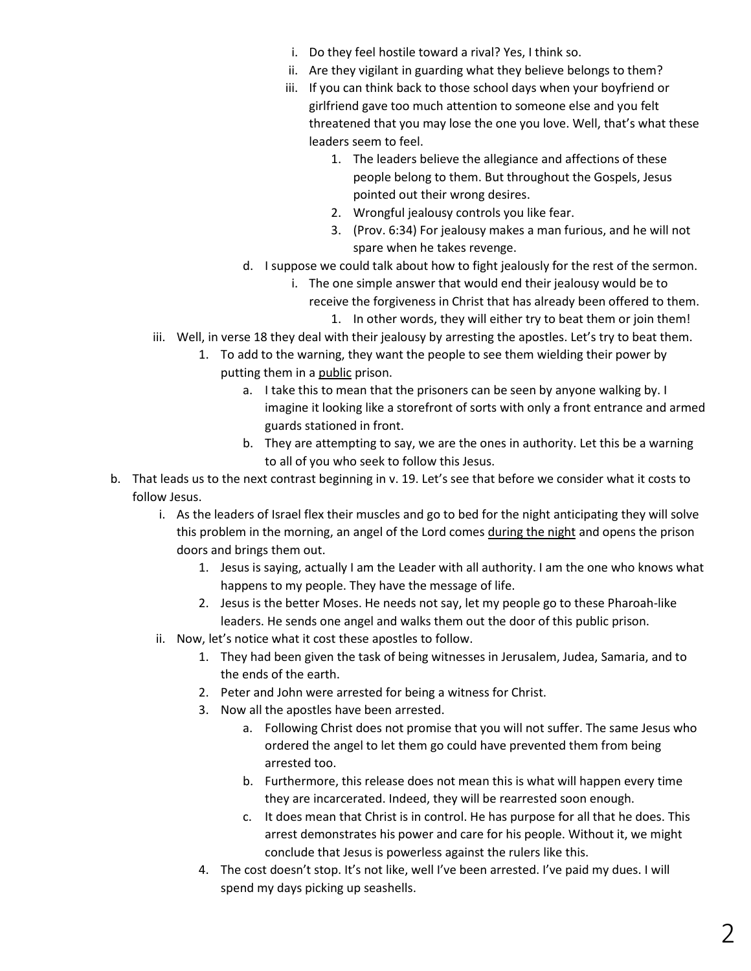- i. Do they feel hostile toward a rival? Yes, I think so.
- ii. Are they vigilant in guarding what they believe belongs to them?
- iii. If you can think back to those school days when your boyfriend or girlfriend gave too much attention to someone else and you felt threatened that you may lose the one you love. Well, that's what these leaders seem to feel.
	- 1. The leaders believe the allegiance and affections of these people belong to them. But throughout the Gospels, Jesus pointed out their wrong desires.
	- 2. Wrongful jealousy controls you like fear.
	- 3. (Prov. 6:34) For jealousy makes a man furious, and he will not spare when he takes revenge.
- d. I suppose we could talk about how to fight jealously for the rest of the sermon.
	- i. The one simple answer that would end their jealousy would be to
		- receive the forgiveness in Christ that has already been offered to them. 1. In other words, they will either try to beat them or join them!
- iii. Well, in verse 18 they deal with their jealousy by arresting the apostles. Let's try to beat them.
	- 1. To add to the warning, they want the people to see them wielding their power by putting them in a public prison.
		- a. I take this to mean that the prisoners can be seen by anyone walking by. I imagine it looking like a storefront of sorts with only a front entrance and armed guards stationed in front.
		- b. They are attempting to say, we are the ones in authority. Let this be a warning to all of you who seek to follow this Jesus.
- b. That leads us to the next contrast beginning in v. 19. Let's see that before we consider what it costs to follow Jesus.
	- i. As the leaders of Israel flex their muscles and go to bed for the night anticipating they will solve this problem in the morning, an angel of the Lord comes during the night and opens the prison doors and brings them out.
		- 1. Jesus is saying, actually I am the Leader with all authority. I am the one who knows what happens to my people. They have the message of life.
		- 2. Jesus is the better Moses. He needs not say, let my people go to these Pharoah-like leaders. He sends one angel and walks them out the door of this public prison.
	- ii. Now, let's notice what it cost these apostles to follow.
		- 1. They had been given the task of being witnesses in Jerusalem, Judea, Samaria, and to the ends of the earth.
		- 2. Peter and John were arrested for being a witness for Christ.
		- 3. Now all the apostles have been arrested.
			- a. Following Christ does not promise that you will not suffer. The same Jesus who ordered the angel to let them go could have prevented them from being arrested too.
			- b. Furthermore, this release does not mean this is what will happen every time they are incarcerated. Indeed, they will be rearrested soon enough.
			- c. It does mean that Christ is in control. He has purpose for all that he does. This arrest demonstrates his power and care for his people. Without it, we might conclude that Jesus is powerless against the rulers like this.
		- 4. The cost doesn't stop. It's not like, well I've been arrested. I've paid my dues. I will spend my days picking up seashells.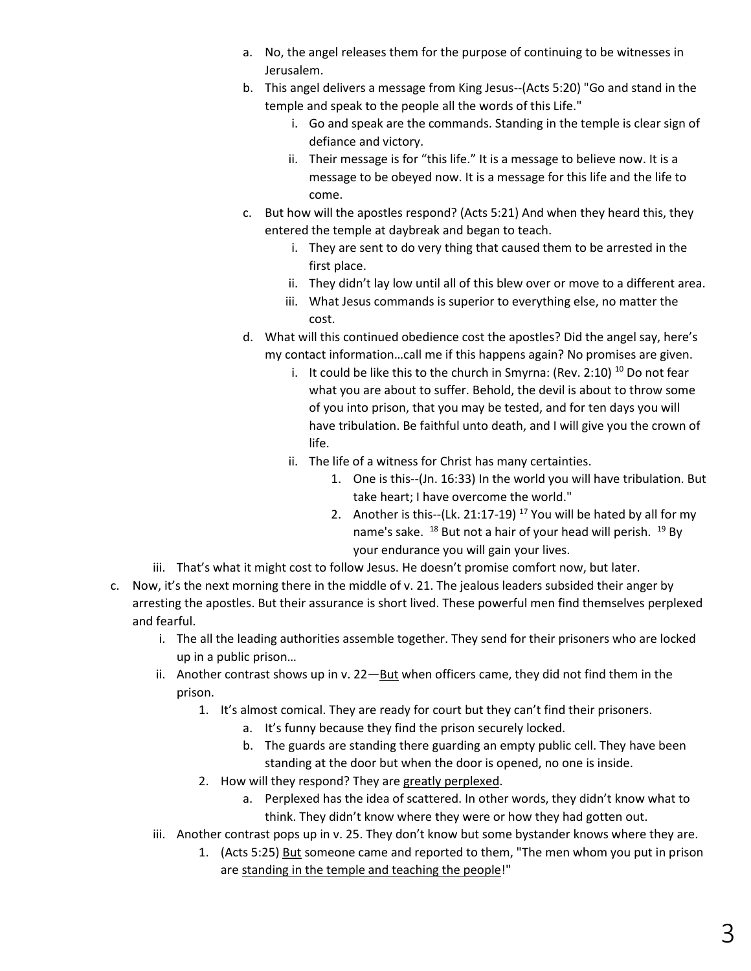- a. No, the angel releases them for the purpose of continuing to be witnesses in Jerusalem.
- b. This angel delivers a message from King Jesus--(Acts 5:20) "Go and stand in the temple and speak to the people all the words of this Life."
	- i. Go and speak are the commands. Standing in the temple is clear sign of defiance and victory.
	- ii. Their message is for "this life." It is a message to believe now. It is a message to be obeyed now. It is a message for this life and the life to come.
- c. But how will the apostles respond? (Acts 5:21) And when they heard this, they entered the temple at daybreak and began to teach.
	- i. They are sent to do very thing that caused them to be arrested in the first place.
	- ii. They didn't lay low until all of this blew over or move to a different area.
	- iii. What Jesus commands is superior to everything else, no matter the cost.
- d. What will this continued obedience cost the apostles? Did the angel say, here's my contact information…call me if this happens again? No promises are given.
	- i. It could be like this to the church in Smyrna: (Rev. 2:10)<sup>10</sup> Do not fear what you are about to suffer. Behold, the devil is about to throw some of you into prison, that you may be tested, and for ten days you will have tribulation. Be faithful unto death, and I will give you the crown of life.
	- ii. The life of a witness for Christ has many certainties.
		- 1. One is this--(Jn. 16:33) In the world you will have tribulation. But take heart; I have overcome the world."
		- 2. Another is this--(Lk. 21:17-19)<sup>17</sup> You will be hated by all for my name's sake. <sup>18</sup> But not a hair of your head will perish. <sup>19</sup> By your endurance you will gain your lives.
- iii. That's what it might cost to follow Jesus. He doesn't promise comfort now, but later.
- c. Now, it's the next morning there in the middle of v. 21. The jealous leaders subsided their anger by arresting the apostles. But their assurance is short lived. These powerful men find themselves perplexed and fearful.
	- i. The all the leading authorities assemble together. They send for their prisoners who are locked up in a public prison…
	- ii. Another contrast shows up in v. 22—But when officers came, they did not find them in the prison.
		- 1. It's almost comical. They are ready for court but they can't find their prisoners.
			- a. It's funny because they find the prison securely locked.
			- b. The guards are standing there guarding an empty public cell. They have been standing at the door but when the door is opened, no one is inside.
		- 2. How will they respond? They are greatly perplexed.
			- a. Perplexed has the idea of scattered. In other words, they didn't know what to think. They didn't know where they were or how they had gotten out.
	- iii. Another contrast pops up in v. 25. They don't know but some bystander knows where they are.
		- 1. (Acts 5:25) But someone came and reported to them, "The men whom you put in prison are standing in the temple and teaching the people!"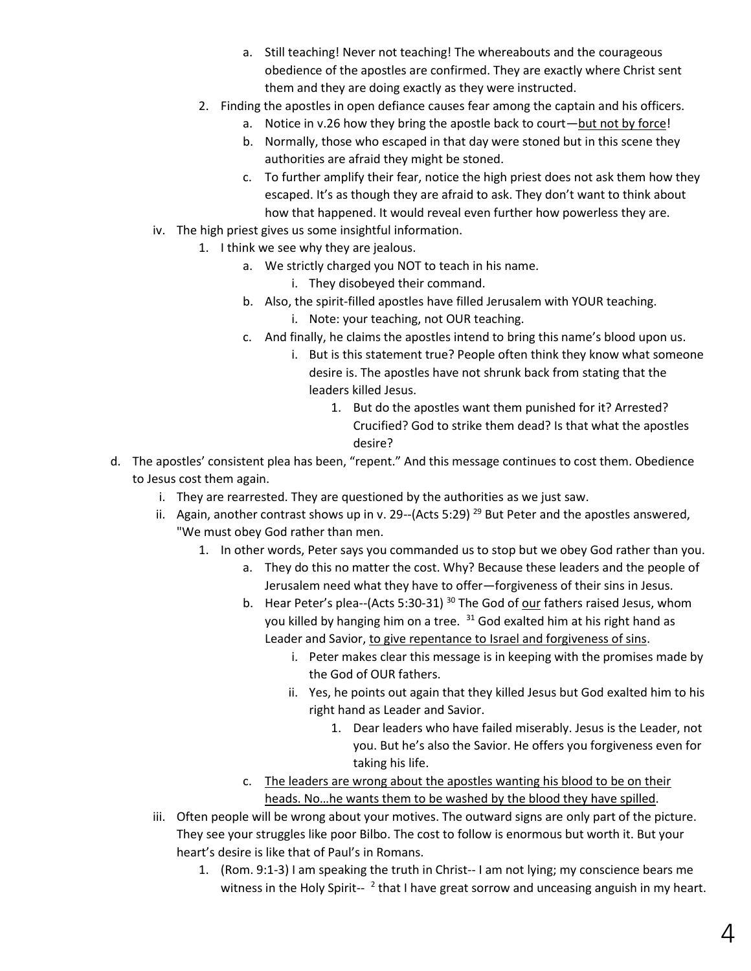- a. Still teaching! Never not teaching! The whereabouts and the courageous obedience of the apostles are confirmed. They are exactly where Christ sent them and they are doing exactly as they were instructed.
- 2. Finding the apostles in open defiance causes fear among the captain and his officers.
	- a. Notice in v.26 how they bring the apostle back to court—but not by force!
	- b. Normally, those who escaped in that day were stoned but in this scene they authorities are afraid they might be stoned.
	- c. To further amplify their fear, notice the high priest does not ask them how they escaped. It's as though they are afraid to ask. They don't want to think about how that happened. It would reveal even further how powerless they are.
- iv. The high priest gives us some insightful information.
	- 1. I think we see why they are jealous.
		- a. We strictly charged you NOT to teach in his name.
			- i. They disobeyed their command.
		- b. Also, the spirit-filled apostles have filled Jerusalem with YOUR teaching. i. Note: your teaching, not OUR teaching.
		- c. And finally, he claims the apostles intend to bring this name's blood upon us.
			- i. But is this statement true? People often think they know what someone desire is. The apostles have not shrunk back from stating that the leaders killed Jesus.
				- 1. But do the apostles want them punished for it? Arrested? Crucified? God to strike them dead? Is that what the apostles desire?
- d. The apostles' consistent plea has been, "repent." And this message continues to cost them. Obedience to Jesus cost them again.
	- i. They are rearrested. They are questioned by the authorities as we just saw.
	- ii. Again, another contrast shows up in v. 29--(Acts 5:29)<sup>29</sup> But Peter and the apostles answered, "We must obey God rather than men.
		- 1. In other words, Peter says you commanded us to stop but we obey God rather than you.
			- a. They do this no matter the cost. Why? Because these leaders and the people of Jerusalem need what they have to offer—forgiveness of their sins in Jesus.
			- b. Hear Peter's plea--(Acts 5:30-31)<sup>30</sup> The God of <u>our</u> fathers raised Jesus, whom you killed by hanging him on a tree. <sup>31</sup> God exalted him at his right hand as Leader and Savior, to give repentance to Israel and forgiveness of sins.
				- i. Peter makes clear this message is in keeping with the promises made by the God of OUR fathers.
				- ii. Yes, he points out again that they killed Jesus but God exalted him to his right hand as Leader and Savior.
					- 1. Dear leaders who have failed miserably. Jesus is the Leader, not you. But he's also the Savior. He offers you forgiveness even for taking his life.
			- c. The leaders are wrong about the apostles wanting his blood to be on their heads. No…he wants them to be washed by the blood they have spilled.
	- iii. Often people will be wrong about your motives. The outward signs are only part of the picture. They see your struggles like poor Bilbo. The cost to follow is enormous but worth it. But your heart's desire is like that of Paul's in Romans.
		- 1. (Rom. 9:1-3) I am speaking the truth in Christ-- I am not lying; my conscience bears me witness in the Holy Spirit--  $2$  that I have great sorrow and unceasing anguish in my heart.